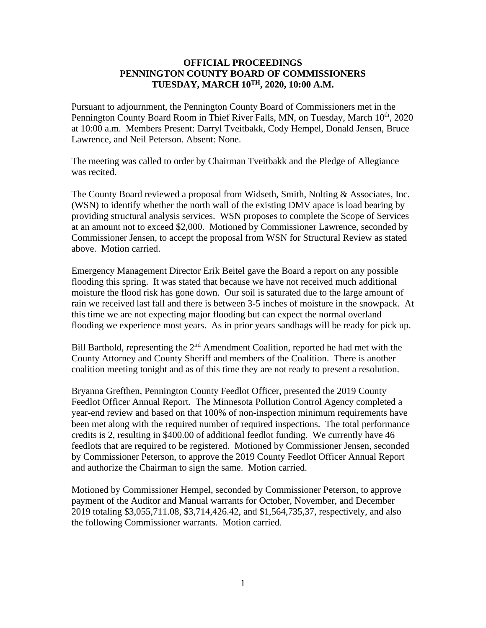## **OFFICIAL PROCEEDINGS PENNINGTON COUNTY BOARD OF COMMISSIONERS TUESDAY, MARCH 10 TH, 2020, 10:00 A.M.**

Pursuant to adjournment, the Pennington County Board of Commissioners met in the Pennington County Board Room in Thief River Falls, MN, on Tuesday, March 10<sup>th</sup>, 2020 at 10:00 a.m. Members Present: Darryl Tveitbakk, Cody Hempel, Donald Jensen, Bruce Lawrence, and Neil Peterson. Absent: None.

The meeting was called to order by Chairman Tveitbakk and the Pledge of Allegiance was recited.

The County Board reviewed a proposal from Widseth, Smith, Nolting & Associates, Inc. (WSN) to identify whether the north wall of the existing DMV apace is load bearing by providing structural analysis services. WSN proposes to complete the Scope of Services at an amount not to exceed \$2,000. Motioned by Commissioner Lawrence, seconded by Commissioner Jensen, to accept the proposal from WSN for Structural Review as stated above. Motion carried.

Emergency Management Director Erik Beitel gave the Board a report on any possible flooding this spring. It was stated that because we have not received much additional moisture the flood risk has gone down. Our soil is saturated due to the large amount of rain we received last fall and there is between 3-5 inches of moisture in the snowpack. At this time we are not expecting major flooding but can expect the normal overland flooding we experience most years. As in prior years sandbags will be ready for pick up.

Bill Barthold, representing the  $2<sup>nd</sup>$  Amendment Coalition, reported he had met with the County Attorney and County Sheriff and members of the Coalition. There is another coalition meeting tonight and as of this time they are not ready to present a resolution.

Bryanna Grefthen, Pennington County Feedlot Officer, presented the 2019 County Feedlot Officer Annual Report. The Minnesota Pollution Control Agency completed a year-end review and based on that 100% of non-inspection minimum requirements have been met along with the required number of required inspections. The total performance credits is 2, resulting in \$400.00 of additional feedlot funding. We currently have 46 feedlots that are required to be registered. Motioned by Commissioner Jensen, seconded by Commissioner Peterson, to approve the 2019 County Feedlot Officer Annual Report and authorize the Chairman to sign the same. Motion carried.

Motioned by Commissioner Hempel, seconded by Commissioner Peterson, to approve payment of the Auditor and Manual warrants for October, November, and December 2019 totaling \$3,055,711.08, \$3,714,426.42, and \$1,564,735,37, respectively, and also the following Commissioner warrants. Motion carried.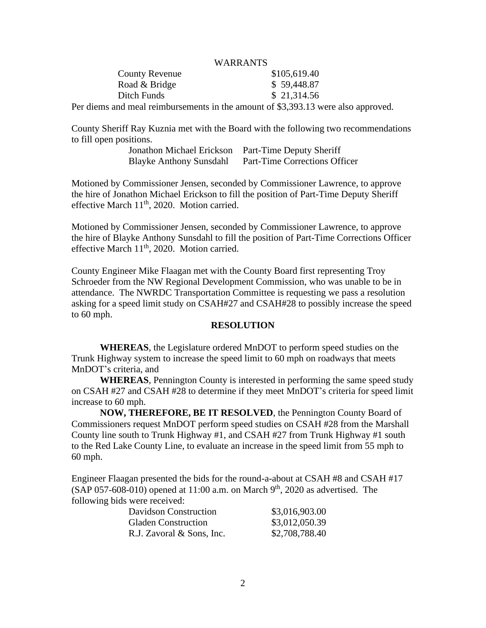#### WARRANTS

| <b>County Revenue</b> | \$105,619.40 |
|-----------------------|--------------|
| Road & Bridge         | \$59,448.87  |
| Ditch Funds           | \$21,314.56  |

Per diems and meal reimbursements in the amount of \$3,393.13 were also approved.

County Sheriff Ray Kuznia met with the Board with the following two recommendations to fill open positions.

> Jonathon Michael Erickson Part-Time Deputy Sheriff Blayke Anthony Sunsdahl Part-Time Corrections Officer

Motioned by Commissioner Jensen, seconded by Commissioner Lawrence, to approve the hire of Jonathon Michael Erickson to fill the position of Part-Time Deputy Sheriff effective March 11<sup>th</sup>, 2020. Motion carried.

Motioned by Commissioner Jensen, seconded by Commissioner Lawrence, to approve the hire of Blayke Anthony Sunsdahl to fill the position of Part-Time Corrections Officer effective March 11<sup>th</sup>, 2020. Motion carried.

County Engineer Mike Flaagan met with the County Board first representing Troy Schroeder from the NW Regional Development Commission, who was unable to be in attendance. The NWRDC Transportation Committee is requesting we pass a resolution asking for a speed limit study on CSAH#27 and CSAH#28 to possibly increase the speed to 60 mph.

### **RESOLUTION**

**WHEREAS**, the Legislature ordered MnDOT to perform speed studies on the Trunk Highway system to increase the speed limit to 60 mph on roadways that meets MnDOT's criteria, and

**WHEREAS**, Pennington County is interested in performing the same speed study on CSAH #27 and CSAH #28 to determine if they meet MnDOT's criteria for speed limit increase to 60 mph.

**NOW, THEREFORE, BE IT RESOLVED**, the Pennington County Board of Commissioners request MnDOT perform speed studies on CSAH #28 from the Marshall County line south to Trunk Highway #1, and CSAH #27 from Trunk Highway #1 south to the Red Lake County Line, to evaluate an increase in the speed limit from 55 mph to 60 mph.

Engineer Flaagan presented the bids for the round-a-about at CSAH #8 and CSAH #17  $(SAP 057-608-010)$  opened at 11:00 a.m. on March 9<sup>th</sup>, 2020 as advertised. The following bids were received:

| Davidson Construction      | \$3,016,903.00 |
|----------------------------|----------------|
| <b>Gladen Construction</b> | \$3,012,050.39 |
| R.J. Zavoral & Sons, Inc.  | \$2,708,788.40 |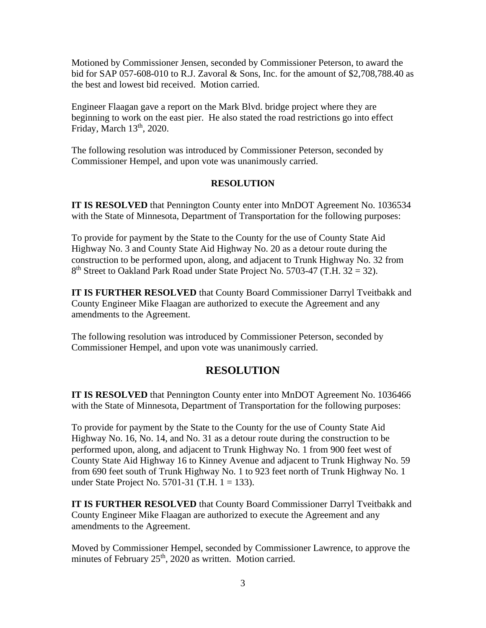Motioned by Commissioner Jensen, seconded by Commissioner Peterson, to award the bid for SAP 057-608-010 to R.J. Zavoral & Sons, Inc. for the amount of \$2,708,788.40 as the best and lowest bid received. Motion carried.

Engineer Flaagan gave a report on the Mark Blvd. bridge project where they are beginning to work on the east pier. He also stated the road restrictions go into effect Friday, March  $13<sup>th</sup>$ , 2020.

The following resolution was introduced by Commissioner Peterson, seconded by Commissioner Hempel, and upon vote was unanimously carried.

## **RESOLUTION**

**IT IS RESOLVED** that Pennington County enter into MnDOT Agreement No. 1036534 with the State of Minnesota, Department of Transportation for the following purposes:

To provide for payment by the State to the County for the use of County State Aid Highway No. 3 and County State Aid Highway No. 20 as a detour route during the construction to be performed upon, along, and adjacent to Trunk Highway No. 32 from  $8<sup>th</sup>$  Street to Oakland Park Road under State Project No. 5703-47 (T.H. 32 = 32).

**IT IS FURTHER RESOLVED** that County Board Commissioner Darryl Tveitbakk and County Engineer Mike Flaagan are authorized to execute the Agreement and any amendments to the Agreement.

The following resolution was introduced by Commissioner Peterson, seconded by Commissioner Hempel, and upon vote was unanimously carried.

# **RESOLUTION**

**IT IS RESOLVED** that Pennington County enter into MnDOT Agreement No. 1036466 with the State of Minnesota, Department of Transportation for the following purposes:

To provide for payment by the State to the County for the use of County State Aid Highway No. 16, No. 14, and No. 31 as a detour route during the construction to be performed upon, along, and adjacent to Trunk Highway No. 1 from 900 feet west of County State Aid Highway 16 to Kinney Avenue and adjacent to Trunk Highway No. 59 from 690 feet south of Trunk Highway No. 1 to 923 feet north of Trunk Highway No. 1 under State Project No. 5701-31 (T.H. 1 = 133).

**IT IS FURTHER RESOLVED** that County Board Commissioner Darryl Tveitbakk and County Engineer Mike Flaagan are authorized to execute the Agreement and any amendments to the Agreement.

Moved by Commissioner Hempel, seconded by Commissioner Lawrence, to approve the minutes of February 25<sup>th</sup>, 2020 as written. Motion carried.